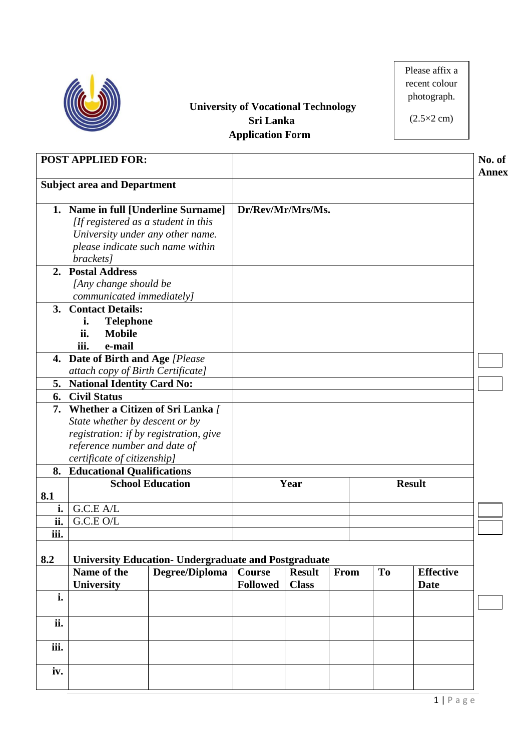

## **University of Vocational Technology Sri Lanka Application Form**

Please affix a recent colour photograph.

 $(2.5\times2 \text{ cm})$ 

|      | <b>POST APPLIED FOR:</b>               |                                                             |                   |               |      |                |                  | No. of<br><b>Annex</b> |
|------|----------------------------------------|-------------------------------------------------------------|-------------------|---------------|------|----------------|------------------|------------------------|
|      | <b>Subject area and Department</b>     |                                                             |                   |               |      |                |                  |                        |
|      | 1. Name in full [Underline Surname]    |                                                             | Dr/Rev/Mr/Mrs/Ms. |               |      |                |                  |                        |
|      | [If registered as a student in this    |                                                             |                   |               |      |                |                  |                        |
|      | University under any other name.       |                                                             |                   |               |      |                |                  |                        |
|      | please indicate such name within       |                                                             |                   |               |      |                |                  |                        |
|      | brackets]                              |                                                             |                   |               |      |                |                  |                        |
|      | 2. Postal Address                      |                                                             |                   |               |      |                |                  |                        |
|      | [Any change should be                  |                                                             |                   |               |      |                |                  |                        |
|      | communicated immediately]              |                                                             |                   |               |      |                |                  |                        |
| 3.   | <b>Contact Details:</b>                |                                                             |                   |               |      |                |                  |                        |
|      | <b>Telephone</b><br>i.                 |                                                             |                   |               |      |                |                  |                        |
|      | ii.<br><b>Mobile</b>                   |                                                             |                   |               |      |                |                  |                        |
|      | iii.<br>e-mail                         |                                                             |                   |               |      |                |                  |                        |
|      | 4. Date of Birth and Age [Please       |                                                             |                   |               |      |                |                  |                        |
|      | attach copy of Birth Certificate]      |                                                             |                   |               |      |                |                  |                        |
|      | 5. National Identity Card No:          |                                                             |                   |               |      |                |                  |                        |
|      | 6. Civil Status                        |                                                             |                   |               |      |                |                  |                        |
|      | 7. Whether a Citizen of Sri Lanka /    |                                                             |                   |               |      |                |                  |                        |
|      | State whether by descent or by         |                                                             |                   |               |      |                |                  |                        |
|      | registration: if by registration, give |                                                             |                   |               |      |                |                  |                        |
|      | reference number and date of           |                                                             |                   |               |      |                |                  |                        |
|      | certificate of citizenship]            |                                                             |                   |               |      |                |                  |                        |
|      | 8. Educational Qualifications          |                                                             |                   |               |      |                |                  |                        |
|      |                                        | <b>School Education</b>                                     |                   | Year          |      |                | <b>Result</b>    |                        |
| 8.1  |                                        |                                                             |                   |               |      |                |                  |                        |
| i.   | G.C.E A/L                              |                                                             |                   |               |      |                |                  |                        |
| ii.  | G.C.E O/L                              |                                                             |                   |               |      |                |                  |                        |
| iii. |                                        |                                                             |                   |               |      |                |                  |                        |
|      |                                        |                                                             |                   |               |      |                |                  |                        |
| 8.2  |                                        | <b>University Education- Undergraduate and Postgraduate</b> |                   |               |      |                |                  |                        |
|      | Name of the                            | Degree/Diploma                                              | <b>Course</b>     | <b>Result</b> | From | T <sub>o</sub> | <b>Effective</b> |                        |
|      | <b>University</b>                      |                                                             | <b>Followed</b>   | <b>Class</b>  |      |                | <b>Date</b>      |                        |
| i.   |                                        |                                                             |                   |               |      |                |                  |                        |
|      |                                        |                                                             |                   |               |      |                |                  |                        |
| ii.  |                                        |                                                             |                   |               |      |                |                  |                        |
|      |                                        |                                                             |                   |               |      |                |                  |                        |
| iii. |                                        |                                                             |                   |               |      |                |                  |                        |
|      |                                        |                                                             |                   |               |      |                |                  |                        |
| iv.  |                                        |                                                             |                   |               |      |                |                  |                        |
|      |                                        |                                                             |                   |               |      |                |                  |                        |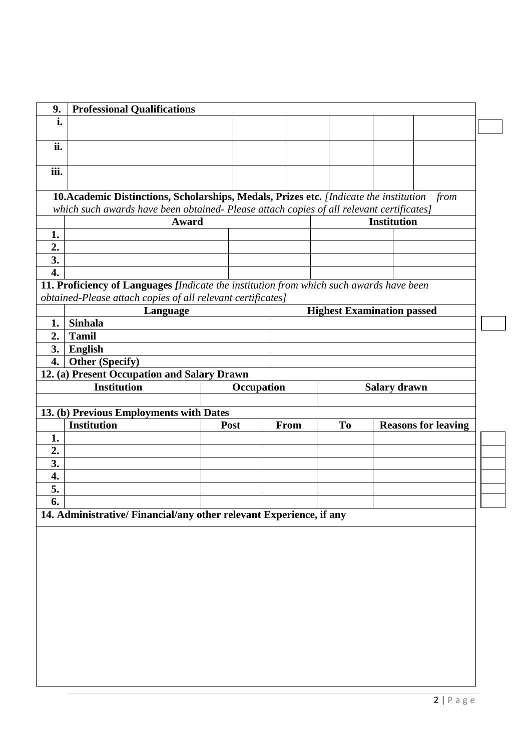| i.<br>ii.<br>iii.<br>1.<br>2.<br>3.<br>4.<br><b>Sinhala</b><br>1.<br>2.<br><b>Tamil</b><br>3.<br>English<br>4.<br>1. | 10. Academic Distinctions, Scholarships, Medals, Prizes etc. [Indicate the institution<br>which such awards have been obtained- Please attach copies of all relevant certificates]<br>Award<br>11. Proficiency of Languages [Indicate the institution from which such awards have been<br>obtained-Please attach copies of all relevant certificates]<br>Language<br><b>Other (Specify)</b><br>12. (a) Present Occupation and Salary Drawn<br><b>Institution</b><br>13. (b) Previous Employments with Dates<br><b>Institution</b><br><b>Post</b> | Occupation<br>From |    | <b>Institution</b><br><b>Highest Examination passed</b> | from |  |  |  |  |
|----------------------------------------------------------------------------------------------------------------------|--------------------------------------------------------------------------------------------------------------------------------------------------------------------------------------------------------------------------------------------------------------------------------------------------------------------------------------------------------------------------------------------------------------------------------------------------------------------------------------------------------------------------------------------------|--------------------|----|---------------------------------------------------------|------|--|--|--|--|
|                                                                                                                      |                                                                                                                                                                                                                                                                                                                                                                                                                                                                                                                                                  |                    |    |                                                         |      |  |  |  |  |
|                                                                                                                      |                                                                                                                                                                                                                                                                                                                                                                                                                                                                                                                                                  |                    |    |                                                         |      |  |  |  |  |
|                                                                                                                      |                                                                                                                                                                                                                                                                                                                                                                                                                                                                                                                                                  |                    |    |                                                         |      |  |  |  |  |
|                                                                                                                      |                                                                                                                                                                                                                                                                                                                                                                                                                                                                                                                                                  |                    |    |                                                         |      |  |  |  |  |
|                                                                                                                      |                                                                                                                                                                                                                                                                                                                                                                                                                                                                                                                                                  |                    |    |                                                         |      |  |  |  |  |
|                                                                                                                      |                                                                                                                                                                                                                                                                                                                                                                                                                                                                                                                                                  |                    |    |                                                         |      |  |  |  |  |
|                                                                                                                      |                                                                                                                                                                                                                                                                                                                                                                                                                                                                                                                                                  |                    |    |                                                         |      |  |  |  |  |
|                                                                                                                      |                                                                                                                                                                                                                                                                                                                                                                                                                                                                                                                                                  |                    |    |                                                         |      |  |  |  |  |
|                                                                                                                      |                                                                                                                                                                                                                                                                                                                                                                                                                                                                                                                                                  |                    |    |                                                         |      |  |  |  |  |
|                                                                                                                      |                                                                                                                                                                                                                                                                                                                                                                                                                                                                                                                                                  |                    |    |                                                         |      |  |  |  |  |
|                                                                                                                      |                                                                                                                                                                                                                                                                                                                                                                                                                                                                                                                                                  |                    |    |                                                         |      |  |  |  |  |
|                                                                                                                      |                                                                                                                                                                                                                                                                                                                                                                                                                                                                                                                                                  |                    |    |                                                         |      |  |  |  |  |
|                                                                                                                      |                                                                                                                                                                                                                                                                                                                                                                                                                                                                                                                                                  |                    |    |                                                         |      |  |  |  |  |
|                                                                                                                      |                                                                                                                                                                                                                                                                                                                                                                                                                                                                                                                                                  |                    |    |                                                         |      |  |  |  |  |
|                                                                                                                      |                                                                                                                                                                                                                                                                                                                                                                                                                                                                                                                                                  |                    |    |                                                         |      |  |  |  |  |
|                                                                                                                      |                                                                                                                                                                                                                                                                                                                                                                                                                                                                                                                                                  |                    |    |                                                         |      |  |  |  |  |
|                                                                                                                      |                                                                                                                                                                                                                                                                                                                                                                                                                                                                                                                                                  |                    |    |                                                         |      |  |  |  |  |
|                                                                                                                      |                                                                                                                                                                                                                                                                                                                                                                                                                                                                                                                                                  |                    |    |                                                         |      |  |  |  |  |
|                                                                                                                      |                                                                                                                                                                                                                                                                                                                                                                                                                                                                                                                                                  |                    |    |                                                         |      |  |  |  |  |
|                                                                                                                      |                                                                                                                                                                                                                                                                                                                                                                                                                                                                                                                                                  |                    |    | <b>Salary drawn</b>                                     |      |  |  |  |  |
|                                                                                                                      |                                                                                                                                                                                                                                                                                                                                                                                                                                                                                                                                                  |                    |    |                                                         |      |  |  |  |  |
|                                                                                                                      |                                                                                                                                                                                                                                                                                                                                                                                                                                                                                                                                                  |                    | To | <b>Reasons for leaving</b>                              |      |  |  |  |  |
|                                                                                                                      |                                                                                                                                                                                                                                                                                                                                                                                                                                                                                                                                                  |                    |    |                                                         |      |  |  |  |  |
|                                                                                                                      |                                                                                                                                                                                                                                                                                                                                                                                                                                                                                                                                                  |                    |    |                                                         |      |  |  |  |  |
| 2.<br>3.                                                                                                             |                                                                                                                                                                                                                                                                                                                                                                                                                                                                                                                                                  |                    |    |                                                         |      |  |  |  |  |
| 4.                                                                                                                   |                                                                                                                                                                                                                                                                                                                                                                                                                                                                                                                                                  |                    |    |                                                         |      |  |  |  |  |
| 5.                                                                                                                   |                                                                                                                                                                                                                                                                                                                                                                                                                                                                                                                                                  |                    |    |                                                         |      |  |  |  |  |
| 6.                                                                                                                   |                                                                                                                                                                                                                                                                                                                                                                                                                                                                                                                                                  |                    |    |                                                         |      |  |  |  |  |
|                                                                                                                      | 14. Administrative/ Financial/any other relevant Experience, if any                                                                                                                                                                                                                                                                                                                                                                                                                                                                              |                    |    |                                                         |      |  |  |  |  |
|                                                                                                                      |                                                                                                                                                                                                                                                                                                                                                                                                                                                                                                                                                  |                    |    |                                                         |      |  |  |  |  |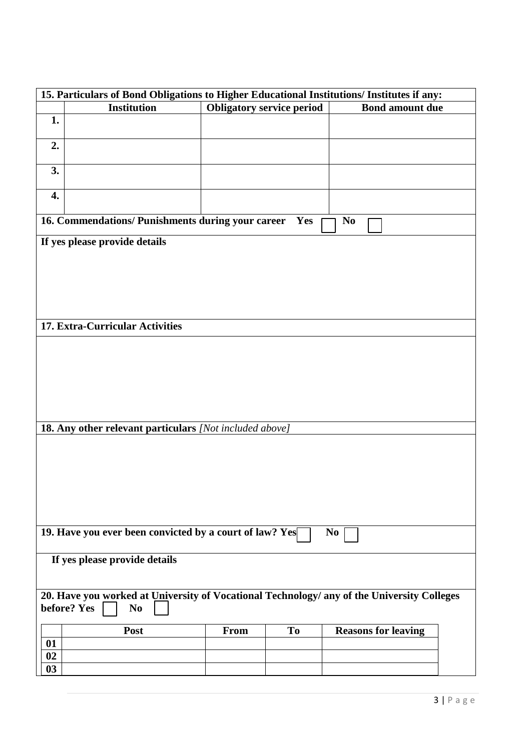| 15. Particulars of Bond Obligations to Higher Educational Institutions/ Institutes if any:                                  |                               |                                  |                |                            |  |  |
|-----------------------------------------------------------------------------------------------------------------------------|-------------------------------|----------------------------------|----------------|----------------------------|--|--|
|                                                                                                                             | <b>Institution</b>            | <b>Obligatory service period</b> |                | <b>Bond amount due</b>     |  |  |
| 1.                                                                                                                          |                               |                                  |                |                            |  |  |
| 2.                                                                                                                          |                               |                                  |                |                            |  |  |
| 3.                                                                                                                          |                               |                                  |                |                            |  |  |
| 4.                                                                                                                          |                               |                                  |                |                            |  |  |
| 16. Commendations/ Punishments during your career<br>N <sub>0</sub><br>Yes                                                  |                               |                                  |                |                            |  |  |
|                                                                                                                             | If yes please provide details |                                  |                |                            |  |  |
| 17. Extra-Curricular Activities                                                                                             |                               |                                  |                |                            |  |  |
|                                                                                                                             |                               |                                  |                |                            |  |  |
| 18. Any other relevant particulars [Not included above]                                                                     |                               |                                  |                |                            |  |  |
|                                                                                                                             |                               |                                  |                |                            |  |  |
| 19. Have you ever been convicted by a court of law? Yes<br>N <sub>0</sub>                                                   |                               |                                  |                |                            |  |  |
| If yes please provide details                                                                                               |                               |                                  |                |                            |  |  |
| 20. Have you worked at University of Vocational Technology/ any of the University Colleges<br>before? Yes<br>N <sub>0</sub> |                               |                                  |                |                            |  |  |
| 01<br>02<br>03                                                                                                              | Post                          | <b>From</b>                      | T <sub>o</sub> | <b>Reasons for leaving</b> |  |  |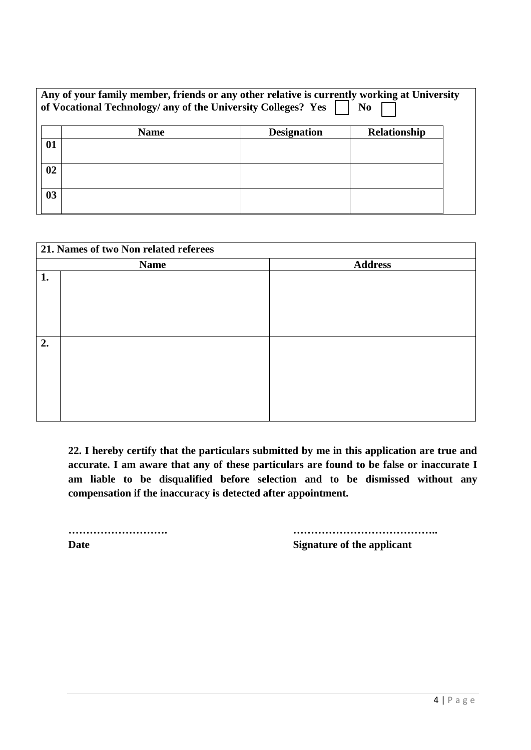| Any of your family member, friends or any other relative is currently working at University<br>of Vocational Technology/ any of the University Colleges? Yes<br>N <sub>0</sub> |             |                    |                     |  |  |  |
|--------------------------------------------------------------------------------------------------------------------------------------------------------------------------------|-------------|--------------------|---------------------|--|--|--|
|                                                                                                                                                                                | <b>Name</b> | <b>Designation</b> | <b>Relationship</b> |  |  |  |
| 01                                                                                                                                                                             |             |                    |                     |  |  |  |
| 02                                                                                                                                                                             |             |                    |                     |  |  |  |
| 0 <sub>3</sub>                                                                                                                                                                 |             |                    |                     |  |  |  |

| 21. Names of two Non related referees |             |                |  |  |  |  |
|---------------------------------------|-------------|----------------|--|--|--|--|
|                                       | <b>Name</b> | <b>Address</b> |  |  |  |  |
| 1.                                    |             |                |  |  |  |  |
|                                       |             |                |  |  |  |  |
|                                       |             |                |  |  |  |  |
|                                       |             |                |  |  |  |  |
|                                       |             |                |  |  |  |  |
| 2.                                    |             |                |  |  |  |  |
|                                       |             |                |  |  |  |  |
|                                       |             |                |  |  |  |  |
|                                       |             |                |  |  |  |  |
|                                       |             |                |  |  |  |  |
|                                       |             |                |  |  |  |  |
|                                       |             |                |  |  |  |  |

**22. I hereby certify that the particulars submitted by me in this application are true and accurate. I am aware that any of these particulars are found to be false or inaccurate I am liable to be disqualified before selection and to be dismissed without any compensation if the inaccuracy is detected after appointment.**

**………………………. ………………………………….. Date Signature of the applicant**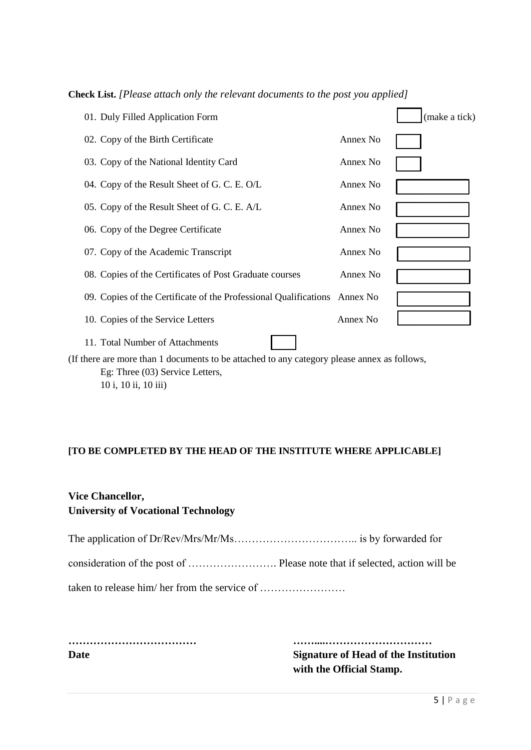| 01. Duly Filled Application Form                                          |          | (make a tick) |
|---------------------------------------------------------------------------|----------|---------------|
| 02. Copy of the Birth Certificate                                         | Annex No |               |
| 03. Copy of the National Identity Card                                    | Annex No |               |
| 04. Copy of the Result Sheet of G. C. E. O/L                              | Annex No |               |
| 05. Copy of the Result Sheet of G. C. E. A/L                              | Annex No |               |
| 06. Copy of the Degree Certificate                                        | Annex No |               |
| 07. Copy of the Academic Transcript                                       | Annex No |               |
| 08. Copies of the Certificates of Post Graduate courses                   | Annex No |               |
| 09. Copies of the Certificate of the Professional Qualifications Annex No |          |               |
| 10. Copies of the Service Letters                                         | Annex No |               |
| 11. Total Number of Attachments                                           |          |               |

**Check List.** *[Please attach only the relevant documents to the post you applied]*

(If there are more than 1 documents to be attached to any category please annex as follows, Eg: Three (03) Service Letters, 10 i, 10 ii, 10 iii)

## **[TO BE COMPLETED BY THE HEAD OF THE INSTITUTE WHERE APPLICABLE]**

## **Vice Chancellor, University of Vocational Technology**

The application of Dr/Rev/Mrs/Mr/Ms…………………………….. is by forwarded for consideration of the post of ……………………. Please note that if selected, action will be taken to release him/ her from the service of ……………………

**……………………………… ……....…………………………**

**Date Signature of Head of the Institution with the Official Stamp.**